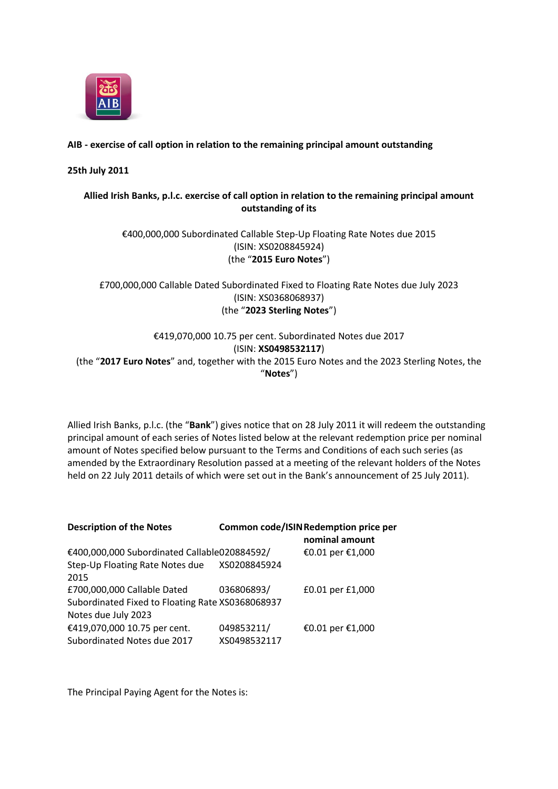

#### **AIB - exercise of call option in relation to the remaining principal amount outstanding**

#### **25th July 2011**

### **Allied Irish Banks, p.l.c. exercise of call option in relation to the remaining principal amount outstanding of its**

### €400,000,000 Subordinated Callable Step-Up Floating Rate Notes due 2015 (ISIN: XS0208845924) (the "**2015 Euro Notes**")

## £700,000,000 Callable Dated Subordinated Fixed to Floating Rate Notes due July 2023 (ISIN: XS0368068937) (the "**2023 Sterling Notes**")

€419,070,000 10.75 per cent. Subordinated Notes due 2017 (ISIN: **XS0498532117**) (the "**2017 Euro Notes**" and, together with the 2015 Euro Notes and the 2023 Sterling Notes, the "**Notes**")

Allied Irish Banks, p.l.c. (the "**Bank**") gives notice that on 28 July 2011 it will redeem the outstanding principal amount of each series of Notes listed below at the relevant redemption price per nominal amount of Notes specified below pursuant to the Terms and Conditions of each such series (as amended by the Extraordinary Resolution passed at a meeting of the relevant holders of the Notes held on 22 July 2011 details of which were set out in the Bank's announcement of 25 July 2011).

| <b>Description of the Notes</b>                  |              | Common code/ISIN Redemption price per<br>nominal amount |
|--------------------------------------------------|--------------|---------------------------------------------------------|
| €400,000,000 Subordinated Callable020884592/     |              | €0.01 per €1,000                                        |
| Step-Up Floating Rate Notes due XS0208845924     |              |                                                         |
| 2015                                             |              |                                                         |
| £700,000,000 Callable Dated                      | 036806893/   | £0.01 per £1,000                                        |
| Subordinated Fixed to Floating Rate XS0368068937 |              |                                                         |
| Notes due July 2023                              |              |                                                         |
| €419,070,000 10.75 per cent.                     | 049853211/   | €0.01 per €1,000                                        |
| Subordinated Notes due 2017                      | XS0498532117 |                                                         |

The Principal Paying Agent for the Notes is: